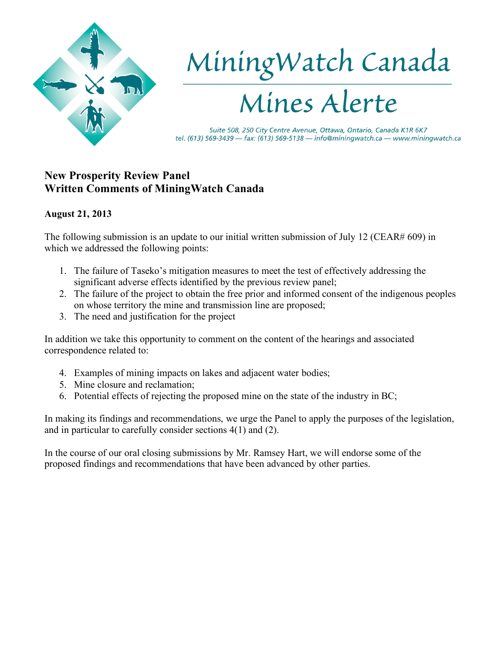

# MiningWatch Canada

Suite 508, 250 City Centre Avenue, Ottawa, Ontario, Canada K1R 6K7 tel. (613) 569-3439 - fax: (613) 569-5138 - info@miningwatch.ca - www.miningwatch.ca

# **New Prosperity Review Panel Written Comments of MiningWatch Canada**

## **August 21, 2013**

The following submission is an update to our initial written submission of July 12 (CEAR# 609) in which we addressed the following points:

- 1. The failure of Taseko's mitigation measures to meet the test of effectively addressing the significant adverse effects identified by the previous review panel;
- 2. The failure of the project to obtain the free prior and informed consent of the indigenous peoples on whose territory the mine and transmission line are proposed;
- 3. The need and justification for the project

In addition we take this opportunity to comment on the content of the hearings and associated correspondence related to:

- 4. Examples of mining impacts on lakes and adjacent water bodies;
- 5. Mine closure and reclamation;
- 6. Potential effects of rejecting the proposed mine on the state of the industry in BC;

In making its findings and recommendations, we urge the Panel to apply the purposes of the legislation, and in particular to carefully consider sections 4(1) and (2).

In the course of our oral closing submissions by Mr. Ramsey Hart, we will endorse some of the proposed findings and recommendations that have been advanced by other parties.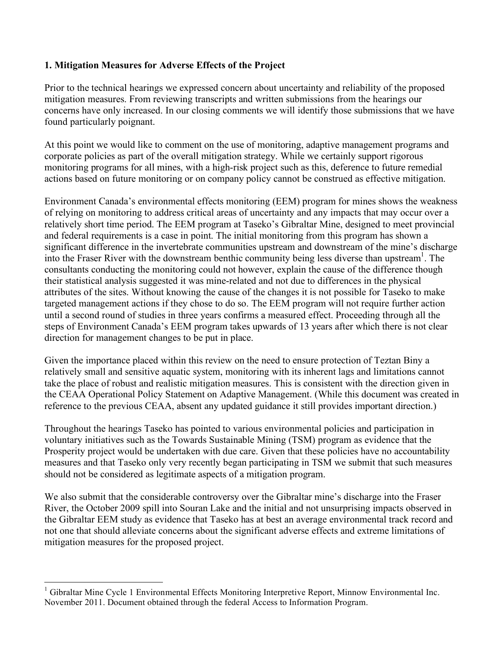### **1. Mitigation Measures for Adverse Effects of the Project**

Prior to the technical hearings we expressed concern about uncertainty and reliability of the proposed mitigation measures. From reviewing transcripts and written submissions from the hearings our concerns have only increased. In our closing comments we will identify those submissions that we have found particularly poignant.

At this point we would like to comment on the use of monitoring, adaptive management programs and corporate policies as part of the overall mitigation strategy. While we certainly support rigorous monitoring programs for all mines, with a high-risk project such as this, deference to future remedial actions based on future monitoring or on company policy cannot be construed as effective mitigation.

Environment Canada's environmental effects monitoring (EEM) program for mines shows the weakness of relying on monitoring to address critical areas of uncertainty and any impacts that may occur over a relatively short time period. The EEM program at Taseko's Gibraltar Mine, designed to meet provincial and federal requirements is a case in point. The initial monitoring from this program has shown a significant difference in the invertebrate communities upstream and downstream of the mine's discharge into the Fraser River with the downstream benthic community being less diverse than upstream<sup>1</sup>. The consultants conducting the monitoring could not however, explain the cause of the difference though their statistical analysis suggested it was mine-related and not due to differences in the physical attributes of the sites. Without knowing the cause of the changes it is not possible for Taseko to make targeted management actions if they chose to do so. The EEM program will not require further action until a second round of studies in three years confirms a measured effect. Proceeding through all the steps of Environment Canada's EEM program takes upwards of 13 years after which there is not clear direction for management changes to be put in place.

Given the importance placed within this review on the need to ensure protection of Teztan Biny a relatively small and sensitive aquatic system, monitoring with its inherent lags and limitations cannot take the place of robust and realistic mitigation measures. This is consistent with the direction given in the CEAA Operational Policy Statement on Adaptive Management. (While this document was created in reference to the previous CEAA, absent any updated guidance it still provides important direction.)

Throughout the hearings Taseko has pointed to various environmental policies and participation in voluntary initiatives such as the Towards Sustainable Mining (TSM) program as evidence that the Prosperity project would be undertaken with due care. Given that these policies have no accountability measures and that Taseko only very recently began participating in TSM we submit that such measures should not be considered as legitimate aspects of a mitigation program.

We also submit that the considerable controversy over the Gibraltar mine's discharge into the Fraser River, the October 2009 spill into Souran Lake and the initial and not unsurprising impacts observed in the Gibraltar EEM study as evidence that Taseko has at best an average environmental track record and not one that should alleviate concerns about the significant adverse effects and extreme limitations of mitigation measures for the proposed project.

 $\frac{1}{1}$  Gibraltar Mine Cycle 1 Environmental Effects Monitoring Interpretive Report, Minnow Environmental Inc. November 2011. Document obtained through the federal Access to Information Program.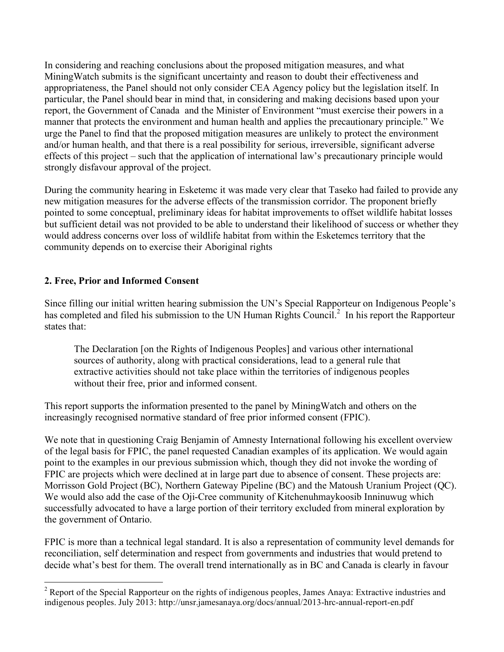In considering and reaching conclusions about the proposed mitigation measures, and what MiningWatch submits is the significant uncertainty and reason to doubt their effectiveness and appropriateness, the Panel should not only consider CEA Agency policy but the legislation itself. In particular, the Panel should bear in mind that, in considering and making decisions based upon your report, the Government of Canada and the Minister of Environment "must exercise their powers in a manner that protects the environment and human health and applies the precautionary principle." We urge the Panel to find that the proposed mitigation measures are unlikely to protect the environment and/or human health, and that there is a real possibility for serious, irreversible, significant adverse effects of this project – such that the application of international law's precautionary principle would strongly disfavour approval of the project.

During the community hearing in Esketemc it was made very clear that Taseko had failed to provide any new mitigation measures for the adverse effects of the transmission corridor. The proponent briefly pointed to some conceptual, preliminary ideas for habitat improvements to offset wildlife habitat losses but sufficient detail was not provided to be able to understand their likelihood of success or whether they would address concerns over loss of wildlife habitat from within the Esketemcs territory that the community depends on to exercise their Aboriginal rights

### **2. Free, Prior and Informed Consent**

Since filling our initial written hearing submission the UN's Special Rapporteur on Indigenous People's has completed and filed his submission to the UN Human Rights Council.<sup>2</sup> In his report the Rapporteur states that:

The Declaration [on the Rights of Indigenous Peoples] and various other international sources of authority, along with practical considerations, lead to a general rule that extractive activities should not take place within the territories of indigenous peoples without their free, prior and informed consent.

This report supports the information presented to the panel by MiningWatch and others on the increasingly recognised normative standard of free prior informed consent (FPIC).

We note that in questioning Craig Benjamin of Amnesty International following his excellent overview of the legal basis for FPIC, the panel requested Canadian examples of its application. We would again point to the examples in our previous submission which, though they did not invoke the wording of FPIC are projects which were declined at in large part due to absence of consent. These projects are: Morrisson Gold Project (BC), Northern Gateway Pipeline (BC) and the Matoush Uranium Project (QC). We would also add the case of the Oji-Cree community of Kitchenuhmaykoosib Inninuwug which successfully advocated to have a large portion of their territory excluded from mineral exploration by the government of Ontario.

FPIC is more than a technical legal standard. It is also a representation of community level demands for reconciliation, self determination and respect from governments and industries that would pretend to decide what's best for them. The overall trend internationally as in BC and Canada is clearly in favour

 $\frac{1}{2}$  $2^{\circ}$  Report of the Special Rapporteur on the rights of indigenous peoples, James Anaya: Extractive industries and indigenous peoples. July 2013: http://unsr.jamesanaya.org/docs/annual/2013-hrc-annual-report-en.pdf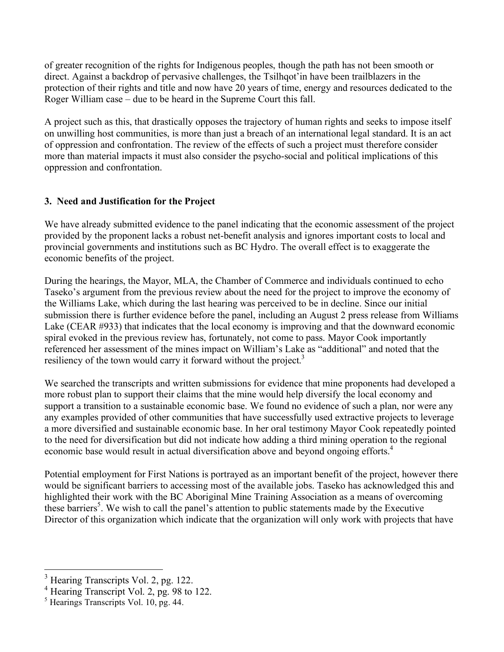of greater recognition of the rights for Indigenous peoples, though the path has not been smooth or direct. Against a backdrop of pervasive challenges, the Tsilhqot'in have been trailblazers in the protection of their rights and title and now have 20 years of time, energy and resources dedicated to the Roger William case – due to be heard in the Supreme Court this fall.

A project such as this, that drastically opposes the trajectory of human rights and seeks to impose itself on unwilling host communities, is more than just a breach of an international legal standard. It is an act of oppression and confrontation. The review of the effects of such a project must therefore consider more than material impacts it must also consider the psycho-social and political implications of this oppression and confrontation.

### **3. Need and Justification for the Project**

We have already submitted evidence to the panel indicating that the economic assessment of the project provided by the proponent lacks a robust net-benefit analysis and ignores important costs to local and provincial governments and institutions such as BC Hydro. The overall effect is to exaggerate the economic benefits of the project.

During the hearings, the Mayor, MLA, the Chamber of Commerce and individuals continued to echo Taseko's argument from the previous review about the need for the project to improve the economy of the Williams Lake, which during the last hearing was perceived to be in decline. Since our initial submission there is further evidence before the panel, including an August 2 press release from Williams Lake (CEAR #933) that indicates that the local economy is improving and that the downward economic spiral evoked in the previous review has, fortunately, not come to pass. Mayor Cook importantly referenced her assessment of the mines impact on William's Lake as "additional" and noted that the resiliency of the town would carry it forward without the project.<sup>3</sup>

We searched the transcripts and written submissions for evidence that mine proponents had developed a more robust plan to support their claims that the mine would help diversify the local economy and support a transition to a sustainable economic base. We found no evidence of such a plan, nor were any any examples provided of other communities that have successfully used extractive projects to leverage a more diversified and sustainable economic base. In her oral testimony Mayor Cook repeatedly pointed to the need for diversification but did not indicate how adding a third mining operation to the regional economic base would result in actual diversification above and beyond ongoing efforts.<sup>4</sup>

Potential employment for First Nations is portrayed as an important benefit of the project, however there would be significant barriers to accessing most of the available jobs. Taseko has acknowledged this and highlighted their work with the BC Aboriginal Mine Training Association as a means of overcoming these barriers<sup>5</sup>. We wish to call the panel's attention to public statements made by the Executive Director of this organization which indicate that the organization will only work with projects that have

<sup>&</sup>lt;sup>3</sup> Hearing Transcripts Vol. 2, pg. 122.

<sup>&</sup>lt;sup>4</sup> Hearing Transcript Vol. 2, pg. 98 to 122.

<sup>5</sup> Hearings Transcripts Vol. 10, pg. 44.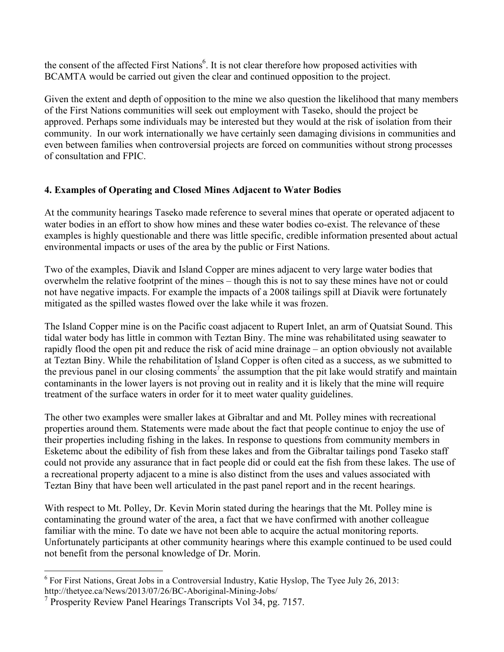the consent of the affected First Nations<sup>6</sup>. It is not clear therefore how proposed activities with BCAMTA would be carried out given the clear and continued opposition to the project.

Given the extent and depth of opposition to the mine we also question the likelihood that many members of the First Nations communities will seek out employment with Taseko, should the project be approved. Perhaps some individuals may be interested but they would at the risk of isolation from their community. In our work internationally we have certainly seen damaging divisions in communities and even between families when controversial projects are forced on communities without strong processes of consultation and FPIC.

## **4. Examples of Operating and Closed Mines Adjacent to Water Bodies**

At the community hearings Taseko made reference to several mines that operate or operated adjacent to water bodies in an effort to show how mines and these water bodies co-exist. The relevance of these examples is highly questionable and there was little specific, credible information presented about actual environmental impacts or uses of the area by the public or First Nations.

Two of the examples, Diavik and Island Copper are mines adjacent to very large water bodies that overwhelm the relative footprint of the mines – though this is not to say these mines have not or could not have negative impacts. For example the impacts of a 2008 tailings spill at Diavik were fortunately mitigated as the spilled wastes flowed over the lake while it was frozen.

The Island Copper mine is on the Pacific coast adjacent to Rupert Inlet, an arm of Quatsiat Sound. This tidal water body has little in common with Teztan Biny. The mine was rehabilitated using seawater to rapidly flood the open pit and reduce the risk of acid mine drainage – an option obviously not available at Teztan Biny. While the rehabilitation of Island Copper is often cited as a success, as we submitted to the previous panel in our closing comments<sup>7</sup> the assumption that the pit lake would stratify and maintain contaminants in the lower layers is not proving out in reality and it is likely that the mine will require treatment of the surface waters in order for it to meet water quality guidelines.

The other two examples were smaller lakes at Gibraltar and and Mt. Polley mines with recreational properties around them. Statements were made about the fact that people continue to enjoy the use of their properties including fishing in the lakes. In response to questions from community members in Esketemc about the edibility of fish from these lakes and from the Gibraltar tailings pond Taseko staff could not provide any assurance that in fact people did or could eat the fish from these lakes. The use of a recreational property adjacent to a mine is also distinct from the uses and values associated with Teztan Biny that have been well articulated in the past panel report and in the recent hearings.

With respect to Mt. Polley, Dr. Kevin Morin stated during the hearings that the Mt. Polley mine is contaminating the ground water of the area, a fact that we have confirmed with another colleague familiar with the mine. To date we have not been able to acquire the actual monitoring reports. Unfortunately participants at other community hearings where this example continued to be used could not benefit from the personal knowledge of Dr. Morin.

 <sup>6</sup>  $6$  For First Nations, Great Jobs in a Controversial Industry, Katie Hyslop, The Tyee July 26, 2013: http://thetyee.ca/News/2013/07/26/BC-Aboriginal-Mining-Jobs/

<sup>&</sup>lt;sup>7</sup> Prosperity Review Panel Hearings Transcripts Vol 34, pg. 7157.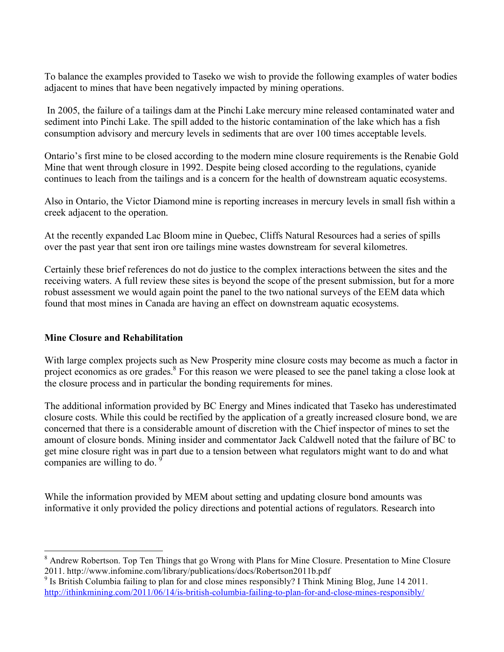To balance the examples provided to Taseko we wish to provide the following examples of water bodies adjacent to mines that have been negatively impacted by mining operations.

 In 2005, the failure of a tailings dam at the Pinchi Lake mercury mine released contaminated water and sediment into Pinchi Lake. The spill added to the historic contamination of the lake which has a fish consumption advisory and mercury levels in sediments that are over 100 times acceptable levels.

Ontario's first mine to be closed according to the modern mine closure requirements is the Renabie Gold Mine that went through closure in 1992. Despite being closed according to the regulations, cyanide continues to leach from the tailings and is a concern for the health of downstream aquatic ecosystems.

Also in Ontario, the Victor Diamond mine is reporting increases in mercury levels in small fish within a creek adjacent to the operation.

At the recently expanded Lac Bloom mine in Quebec, Cliffs Natural Resources had a series of spills over the past year that sent iron ore tailings mine wastes downstream for several kilometres.

Certainly these brief references do not do justice to the complex interactions between the sites and the receiving waters. A full review these sites is beyond the scope of the present submission, but for a more robust assessment we would again point the panel to the two national surveys of the EEM data which found that most mines in Canada are having an effect on downstream aquatic ecosystems.

### **Mine Closure and Rehabilitation**

With large complex projects such as New Prosperity mine closure costs may become as much a factor in project economics as ore grades.<sup>8</sup> For this reason we were pleased to see the panel taking a close look at the closure process and in particular the bonding requirements for mines.

The additional information provided by BC Energy and Mines indicated that Taseko has underestimated closure costs. While this could be rectified by the application of a greatly increased closure bond, we are concerned that there is a considerable amount of discretion with the Chief inspector of mines to set the amount of closure bonds. Mining insider and commentator Jack Caldwell noted that the failure of BC to get mine closure right was in part due to a tension between what regulators might want to do and what companies are willing to do.  $\frac{9}{2}$ 

While the information provided by MEM about setting and updating closure bond amounts was informative it only provided the policy directions and potential actions of regulators. Research into

 <sup>8</sup> Andrew Robertson. Top Ten Things that go Wrong with Plans for Mine Closure. Presentation to Mine Closure 2011. http://www.infomine.com/library/publications/docs/Robertson2011b.pdf

<sup>&</sup>lt;sup>9</sup> Is British Columbia failing to plan for and close mines responsibly? I Think Mining Blog, June 14 2011. http://ithinkmining.com/2011/06/14/is-british-columbia-failing-to-plan-for-and-close-mines-responsibly/